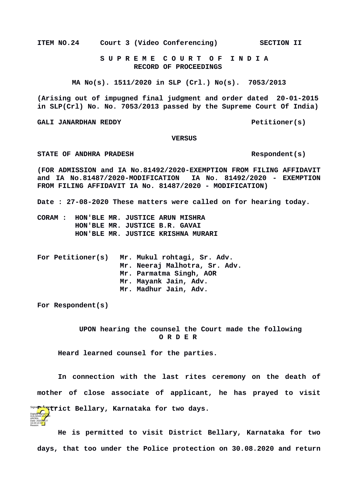**ITEM NO.24 Court 3 (Video Conferencing) SECTION II**

 **S U P R E M E C O U R T O F I N D I A RECORD OF PROCEEDINGS**

**MA No(s). 1511/2020 in SLP (Crl.) No(s). 7053/2013**

**(Arising out of impugned final judgment and order dated 20-01-2015 in SLP(Crl) No. No. 7053/2013 passed by the Supreme Court Of India)**

GALI JANARDHAN REDDY **Petitioner(s)** 

## **VERSUS**

STATE OF ANDHRA PRADESH **Respondent(s)** 

**(FOR ADMISSION and IA No.81492/2020-EXEMPTION FROM FILING AFFIDAVIT and IA No.81487/2020-MODIFICATION IA No. 81492/2020 - EXEMPTION FROM FILING AFFIDAVIT IA No. 81487/2020 - MODIFICATION)**

**Date : 27-08-2020 These matters were called on for hearing today.**

- **CORAM : HON'BLE MR. JUSTICE ARUN MISHRA HON'BLE MR. JUSTICE B.R. GAVAI HON'BLE MR. JUSTICE KRISHNA MURARI**
- **For Petitioner(s) Mr. Mukul rohtagi, Sr. Adv. Mr. Neeraj Malhotra, Sr. Adv. Mr. Parmatma Singh, AOR Mr. Mayank Jain, Adv. Mr. Madhur Jain, Adv.**

**For Respondent(s)**

ARORA Date: 2020.08.27 16:43:13 IST Reason:

 **UPON hearing the counsel the Court made the following O R D E R**

**Heard learned counsel for the parties.**

**In connection with the last rites ceremony on the death of mother of close associate of applicant, he has prayed to visit District Bellary, Karnataka for two days.**  Signature Not VerifiedDigitally signed by GÜLSHAN <mark>KUM</mark>AR

**He is permitted to visit District Bellary, Karnataka for two days, that too under the Police protection on 30.08.2020 and return**